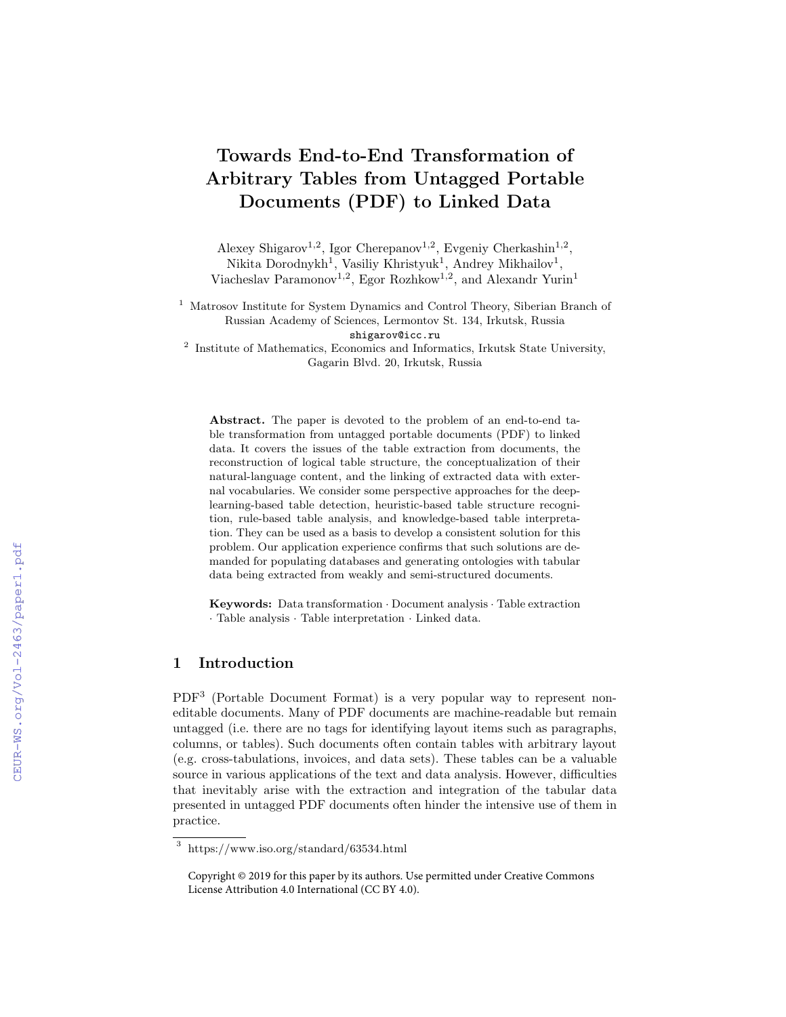# Towards End-to-End Transformation of Arbitrary Tables from Untagged Portable Documents (PDF) to Linked Data

Alexey Shigarov<sup>1,2</sup>, Igor Cherepanov<sup>1,2</sup>, Evgeniy Cherkashin<sup>1,2</sup>, Nikita Dorodnykh<sup>1</sup>, Vasiliy Khristyuk<sup>1</sup>, Andrey Mikhailov<sup>1</sup>, Viacheslav Paramonov<sup>1,2</sup>, Egor Rozhkow<sup>1,2</sup>, and Alexandr Yurin<sup>1</sup>

<sup>1</sup> Matrosov Institute for System Dynamics and Control Theory, Siberian Branch of Russian Academy of Sciences, Lermontov St. 134, Irkutsk, Russia shigarov@icc.ru

<sup>2</sup> Institute of Mathematics, Economics and Informatics, Irkutsk State University, Gagarin Blvd. 20, Irkutsk, Russia

Abstract. The paper is devoted to the problem of an end-to-end table transformation from untagged portable documents (PDF) to linked data. It covers the issues of the table extraction from documents, the reconstruction of logical table structure, the conceptualization of their natural-language content, and the linking of extracted data with external vocabularies. We consider some perspective approaches for the deeplearning-based table detection, heuristic-based table structure recognition, rule-based table analysis, and knowledge-based table interpretation. They can be used as a basis to develop a consistent solution for this problem. Our application experience confirms that such solutions are demanded for populating databases and generating ontologies with tabular data being extracted from weakly and semi-structured documents.

Keywords: Data transformation · Document analysis · Table extraction · Table analysis · Table interpretation · Linked data.

# 1 Introduction

PDF<sup>3</sup> (Portable Document Format) is a very popular way to represent noneditable documents. Many of PDF documents are machine-readable but remain untagged (i.e. there are no tags for identifying layout items such as paragraphs, columns, or tables). Such documents often contain tables with arbitrary layout (e.g. cross-tabulations, invoices, and data sets). These tables can be a valuable source in various applications of the text and data analysis. However, difficulties that inevitably arise with the extraction and integration of the tabular data presented in untagged PDF documents often hinder the intensive use of them in practice.

<sup>3</sup> https://www.iso.org/standard/63534.html

Copyright © 2019 for this paper by its authors. Use permitted under Creative Commons License Attribution 4.0 International (CC BY 4.0).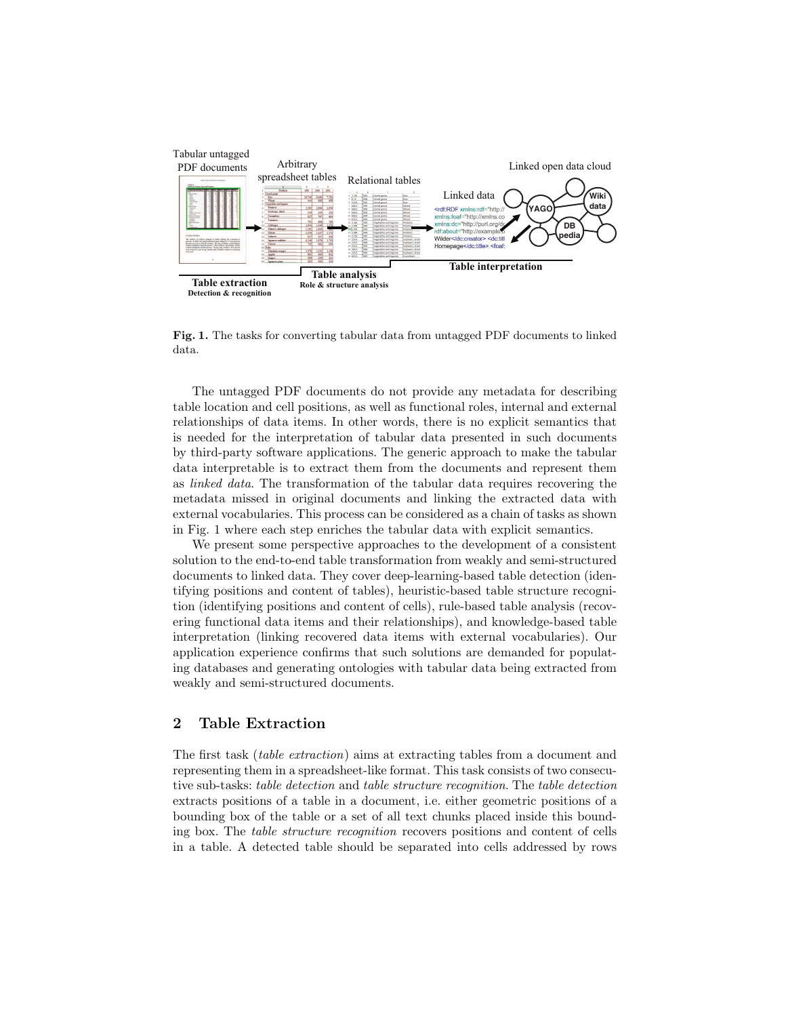

Fig. 1. The tasks for converting tabular data from untagged PDF documents to linked data.

The untagged PDF documents do not provide any metadata for describing table location and cell positions, as well as functional roles, internal and external relationships of data items. In other words, there is no explicit semantics that is needed for the interpretation of tabular data presented in such documents by third-party software applications. The generic approach to make the tabular data interpretable is to extract them from the documents and represent them as linked data. The transformation of the tabular data requires recovering the metadata missed in original documents and linking the extracted data with external vocabularies. This process can be considered as a chain of tasks as shown in Fig. 1 where each step enriches the tabular data with explicit semantics.

We present some perspective approaches to the development of a consistent solution to the end-to-end table transformation from weakly and semi-structured documents to linked data. They cover deep-learning-based table detection (identifying positions and content of tables), heuristic-based table structure recognition (identifying positions and content of cells), rule-based table analysis (recovering functional data items and their relationships), and knowledge-based table interpretation (linking recovered data items with external vocabularies). Our application experience confirms that such solutions are demanded for populating databases and generating ontologies with tabular data being extracted from weakly and semi-structured documents.

# 2 Table Extraction

The first task (table extraction) aims at extracting tables from a document and representing them in a spreadsheet-like format. This task consists of two consecutive sub-tasks: table detection and table structure recognition. The table detection extracts positions of a table in a document, i.e. either geometric positions of a bounding box of the table or a set of all text chunks placed inside this bounding box. The table structure recognition recovers positions and content of cells in a table. A detected table should be separated into cells addressed by rows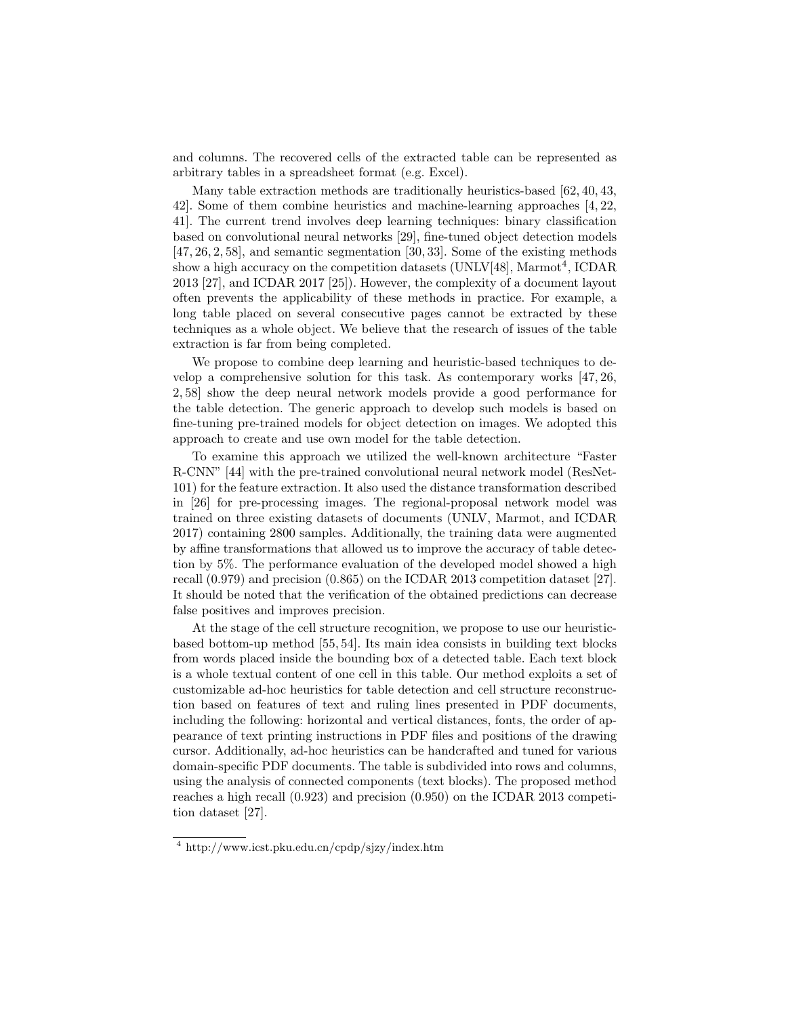and columns. The recovered cells of the extracted table can be represented as arbitrary tables in a spreadsheet format (e.g. Excel).

Many table extraction methods are traditionally heuristics-based [62, 40, 43, 42]. Some of them combine heuristics and machine-learning approaches [4, 22, 41]. The current trend involves deep learning techniques: binary classification based on convolutional neural networks [29], fine-tuned object detection models [47, 26, 2, 58], and semantic segmentation [30, 33]. Some of the existing methods show a high accuracy on the competition datasets (UNLV[48], Marmot<sup>4</sup>, ICDAR 2013 [27], and ICDAR 2017 [25]). However, the complexity of a document layout often prevents the applicability of these methods in practice. For example, a long table placed on several consecutive pages cannot be extracted by these techniques as a whole object. We believe that the research of issues of the table extraction is far from being completed.

We propose to combine deep learning and heuristic-based techniques to develop a comprehensive solution for this task. As contemporary works [47, 26, 2, 58] show the deep neural network models provide a good performance for the table detection. The generic approach to develop such models is based on fine-tuning pre-trained models for object detection on images. We adopted this approach to create and use own model for the table detection.

To examine this approach we utilized the well-known architecture "Faster R-CNN" [44] with the pre-trained convolutional neural network model (ResNet-101) for the feature extraction. It also used the distance transformation described in [26] for pre-processing images. The regional-proposal network model was trained on three existing datasets of documents (UNLV, Marmot, and ICDAR 2017) containing 2800 samples. Additionally, the training data were augmented by affine transformations that allowed us to improve the accuracy of table detection by 5%. The performance evaluation of the developed model showed a high recall (0.979) and precision (0.865) on the ICDAR 2013 competition dataset [27]. It should be noted that the verification of the obtained predictions can decrease false positives and improves precision.

At the stage of the cell structure recognition, we propose to use our heuristicbased bottom-up method [55, 54]. Its main idea consists in building text blocks from words placed inside the bounding box of a detected table. Each text block is a whole textual content of one cell in this table. Our method exploits a set of customizable ad-hoc heuristics for table detection and cell structure reconstruction based on features of text and ruling lines presented in PDF documents, including the following: horizontal and vertical distances, fonts, the order of appearance of text printing instructions in PDF files and positions of the drawing cursor. Additionally, ad-hoc heuristics can be handcrafted and tuned for various domain-specific PDF documents. The table is subdivided into rows and columns, using the analysis of connected components (text blocks). The proposed method reaches a high recall (0.923) and precision (0.950) on the ICDAR 2013 competition dataset [27].

<sup>4</sup> http://www.icst.pku.edu.cn/cpdp/sjzy/index.htm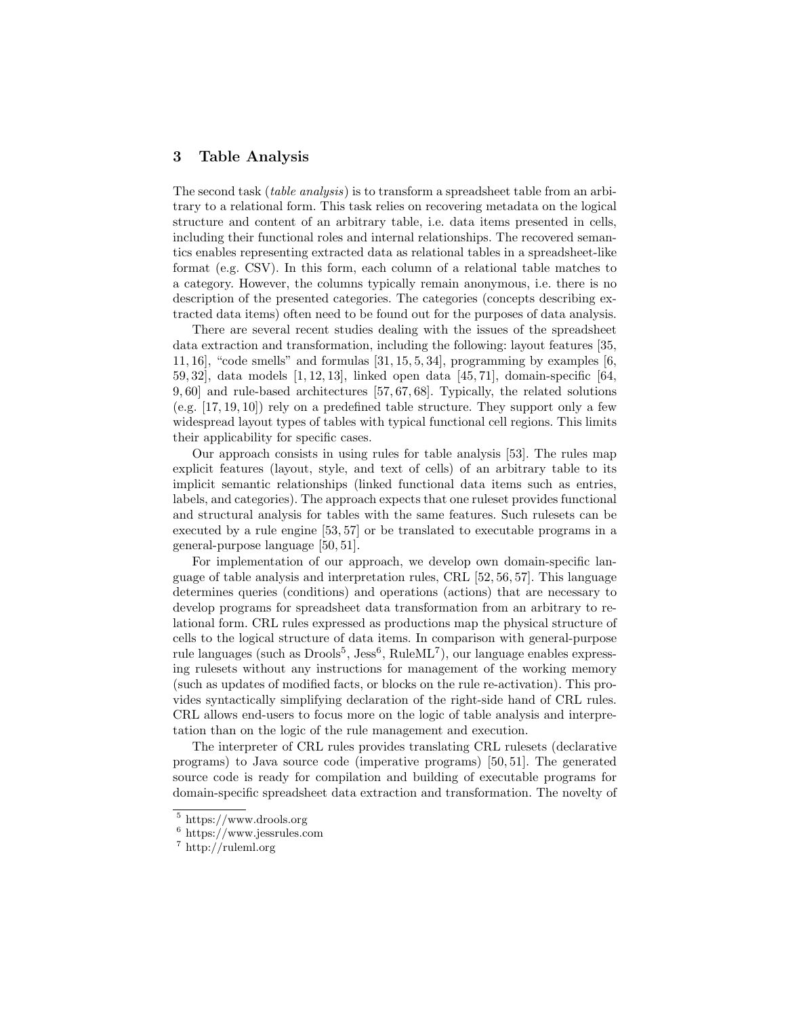## 3 Table Analysis

The second task (table analysis) is to transform a spreadsheet table from an arbitrary to a relational form. This task relies on recovering metadata on the logical structure and content of an arbitrary table, i.e. data items presented in cells, including their functional roles and internal relationships. The recovered semantics enables representing extracted data as relational tables in a spreadsheet-like format (e.g. CSV). In this form, each column of a relational table matches to a category. However, the columns typically remain anonymous, i.e. there is no description of the presented categories. The categories (concepts describing extracted data items) often need to be found out for the purposes of data analysis.

There are several recent studies dealing with the issues of the spreadsheet data extraction and transformation, including the following: layout features [35, 11, 16], "code smells" and formulas  $[31, 15, 5, 34]$ , programming by examples  $[6, 1, 15]$ 59, 32], data models [1, 12, 13], linked open data [45, 71], domain-specific [64, 9, 60] and rule-based architectures [57, 67, 68]. Typically, the related solutions  $(e.g. [17, 19, 10])$  rely on a predefined table structure. They support only a few widespread layout types of tables with typical functional cell regions. This limits their applicability for specific cases.

Our approach consists in using rules for table analysis [53]. The rules map explicit features (layout, style, and text of cells) of an arbitrary table to its implicit semantic relationships (linked functional data items such as entries, labels, and categories). The approach expects that one ruleset provides functional and structural analysis for tables with the same features. Such rulesets can be executed by a rule engine [53, 57] or be translated to executable programs in a general-purpose language [50, 51].

For implementation of our approach, we develop own domain-specific language of table analysis and interpretation rules, CRL [52, 56, 57]. This language determines queries (conditions) and operations (actions) that are necessary to develop programs for spreadsheet data transformation from an arbitrary to relational form. CRL rules expressed as productions map the physical structure of cells to the logical structure of data items. In comparison with general-purpose rule languages (such as Drools<sup>5</sup>, Jess<sup>6</sup>, RuleML<sup>7</sup>), our language enables expressing rulesets without any instructions for management of the working memory (such as updates of modified facts, or blocks on the rule re-activation). This provides syntactically simplifying declaration of the right-side hand of CRL rules. CRL allows end-users to focus more on the logic of table analysis and interpretation than on the logic of the rule management and execution.

The interpreter of CRL rules provides translating CRL rulesets (declarative programs) to Java source code (imperative programs) [50, 51]. The generated source code is ready for compilation and building of executable programs for domain-specific spreadsheet data extraction and transformation. The novelty of

<sup>5</sup> https://www.drools.org

 $6$  https://www.jessrules.com

<sup>7</sup> http://ruleml.org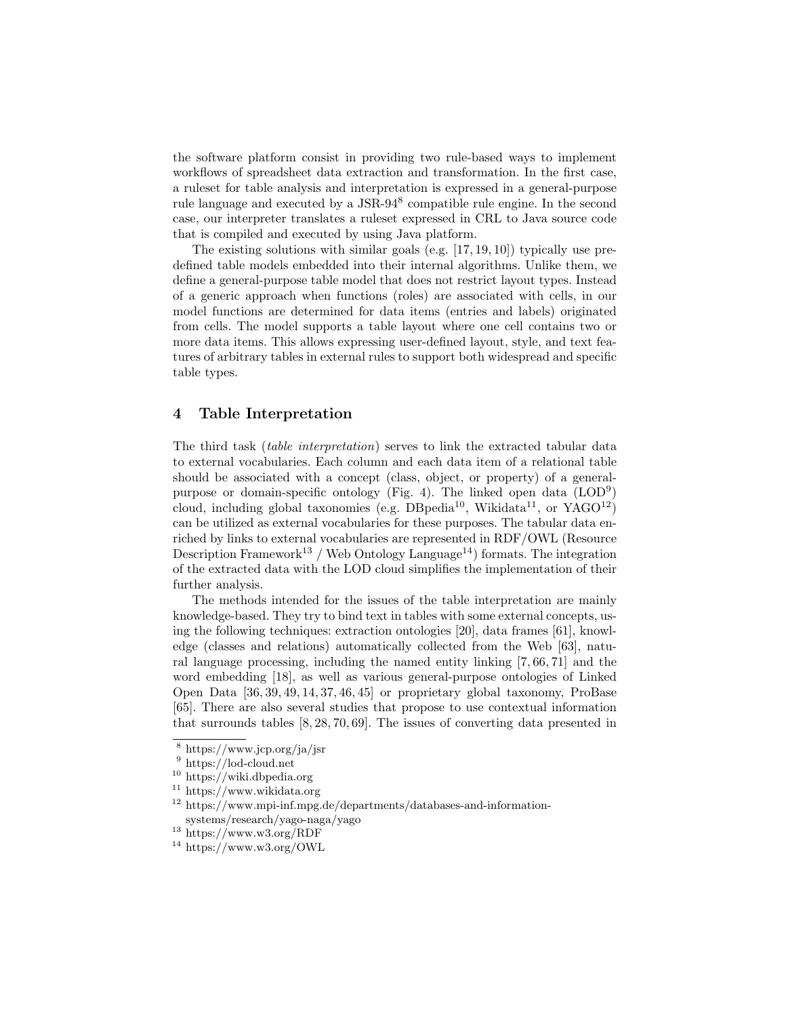the software platform consist in providing two rule-based ways to implement workflows of spreadsheet data extraction and transformation. In the first case, a ruleset for table analysis and interpretation is expressed in a general-purpose rule language and executed by a JSR-94<sup>8</sup> compatible rule engine. In the second case, our interpreter translates a ruleset expressed in CRL to Java source code that is compiled and executed by using Java platform.

The existing solutions with similar goals (e.g.  $[17, 19, 10]$ ) typically use predefined table models embedded into their internal algorithms. Unlike them, we define a general-purpose table model that does not restrict layout types. Instead of a generic approach when functions (roles) are associated with cells, in our model functions are determined for data items (entries and labels) originated from cells. The model supports a table layout where one cell contains two or more data items. This allows expressing user-defined layout, style, and text features of arbitrary tables in external rules to support both widespread and specific table types.

## 4 Table Interpretation

The third task (table interpretation) serves to link the extracted tabular data to external vocabularies. Each column and each data item of a relational table should be associated with a concept (class, object, or property) of a generalpurpose or domain-specific ontology (Fig. 4). The linked open data (LOD<sup>9</sup>) cloud, including global taxonomies (e.g. DBpedia<sup>10</sup>, Wikidata<sup>11</sup>, or YAGO<sup>12</sup>) can be utilized as external vocabularies for these purposes. The tabular data enriched by links to external vocabularies are represented in RDF/OWL (Resource Description Framework<sup>13</sup> / Web Ontology Language<sup>14</sup>) formats. The integration of the extracted data with the LOD cloud simplifies the implementation of their further analysis.

The methods intended for the issues of the table interpretation are mainly knowledge-based. They try to bind text in tables with some external concepts, using the following techniques: extraction ontologies [20], data frames [61], knowledge (classes and relations) automatically collected from the Web [63], natural language processing, including the named entity linking [7, 66, 71] and the word embedding [18], as well as various general-purpose ontologies of Linked Open Data [36, 39, 49, 14, 37, 46, 45] or proprietary global taxonomy, ProBase [65]. There are also several studies that propose to use contextual information that surrounds tables [8, 28, 70, 69]. The issues of converting data presented in

<sup>8</sup> https://www.jcp.org/ja/jsr

 $^9$ https://lod-cloud.net

<sup>10</sup> https://wiki.dbpedia.org

 $11 \text{ https://www.wikipediaata.org}$ 

<sup>12</sup> https://www.mpi-inf.mpg.de/departments/databases-and-informationsystems/research/yago-naga/yago

 $^{13}$ https://www.w3.org/RDF

 $14 \text{ https://www.w3.org/OWL}$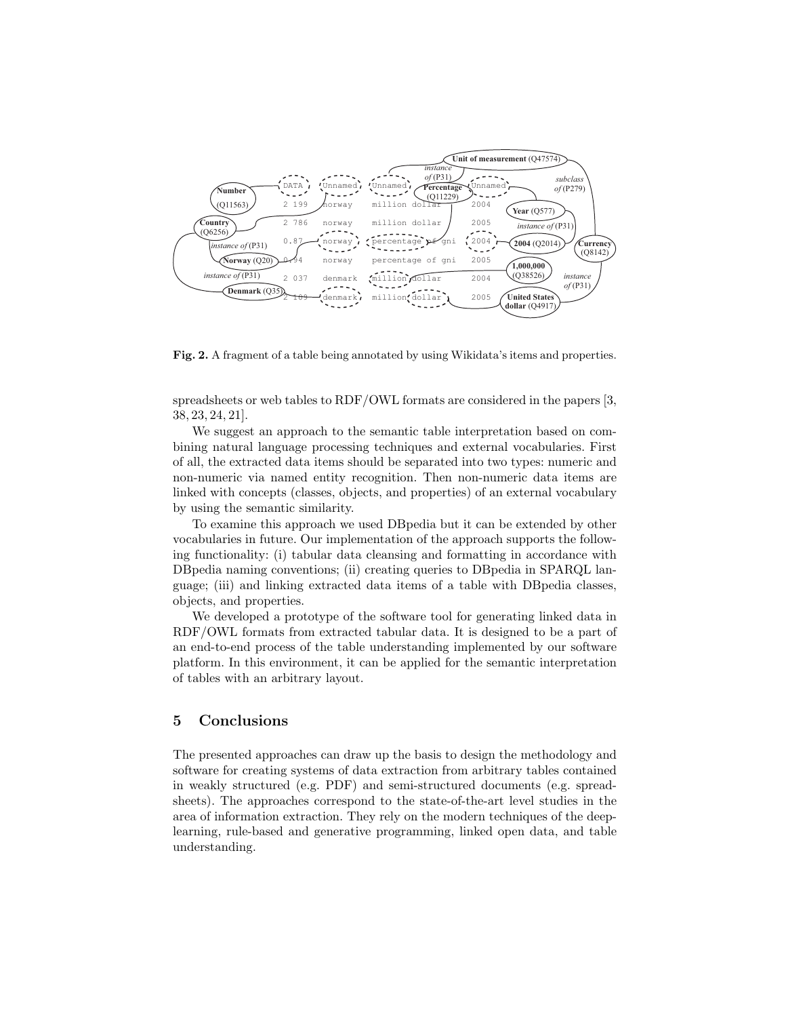

Fig. 2. A fragment of a table being annotated by using Wikidata's items and properties.

spreadsheets or web tables to RDF/OWL formats are considered in the papers [3, 38, 23, 24, 21].

We suggest an approach to the semantic table interpretation based on combining natural language processing techniques and external vocabularies. First of all, the extracted data items should be separated into two types: numeric and non-numeric via named entity recognition. Then non-numeric data items are linked with concepts (classes, objects, and properties) of an external vocabulary by using the semantic similarity.

To examine this approach we used DBpedia but it can be extended by other vocabularies in future. Our implementation of the approach supports the following functionality: (i) tabular data cleansing and formatting in accordance with DBpedia naming conventions; (ii) creating queries to DBpedia in SPARQL language; (iii) and linking extracted data items of a table with DBpedia classes, objects, and properties.

We developed a prototype of the software tool for generating linked data in RDF/OWL formats from extracted tabular data. It is designed to be a part of an end-to-end process of the table understanding implemented by our software platform. In this environment, it can be applied for the semantic interpretation of tables with an arbitrary layout.

#### 5 Conclusions

The presented approaches can draw up the basis to design the methodology and software for creating systems of data extraction from arbitrary tables contained in weakly structured (e.g. PDF) and semi-structured documents (e.g. spreadsheets). The approaches correspond to the state-of-the-art level studies in the area of information extraction. They rely on the modern techniques of the deeplearning, rule-based and generative programming, linked open data, and table understanding.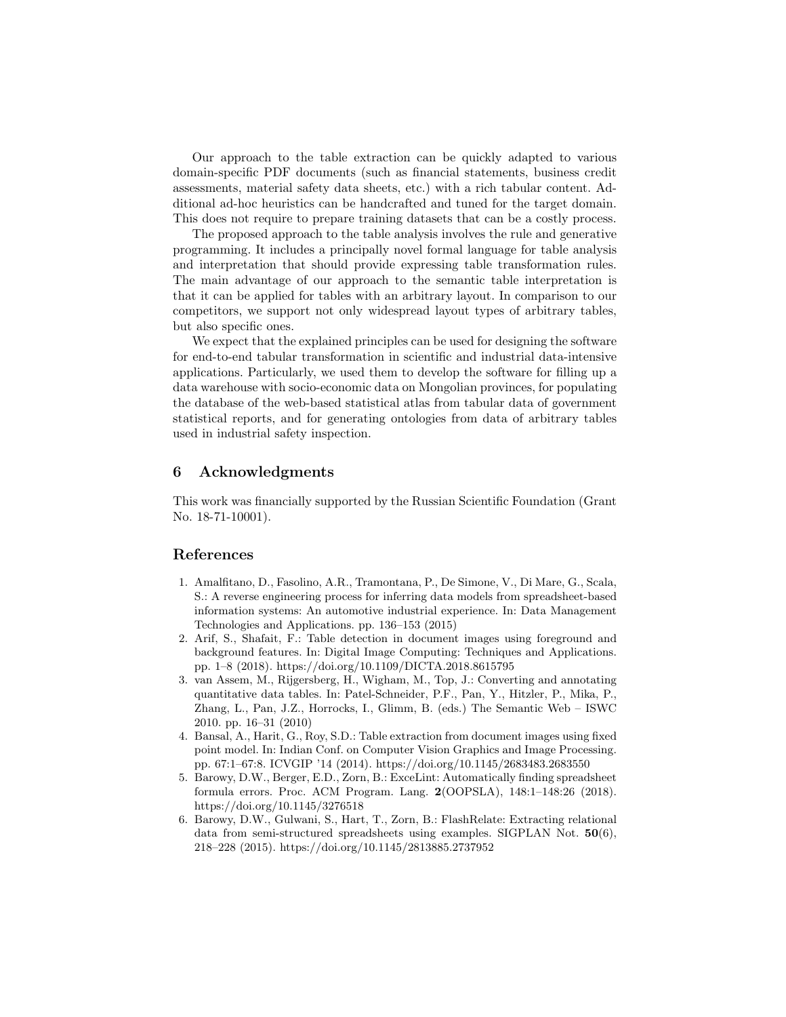Our approach to the table extraction can be quickly adapted to various domain-specific PDF documents (such as financial statements, business credit assessments, material safety data sheets, etc.) with a rich tabular content. Additional ad-hoc heuristics can be handcrafted and tuned for the target domain. This does not require to prepare training datasets that can be a costly process.

The proposed approach to the table analysis involves the rule and generative programming. It includes a principally novel formal language for table analysis and interpretation that should provide expressing table transformation rules. The main advantage of our approach to the semantic table interpretation is that it can be applied for tables with an arbitrary layout. In comparison to our competitors, we support not only widespread layout types of arbitrary tables, but also specific ones.

We expect that the explained principles can be used for designing the software for end-to-end tabular transformation in scientific and industrial data-intensive applications. Particularly, we used them to develop the software for filling up a data warehouse with socio-economic data on Mongolian provinces, for populating the database of the web-based statistical atlas from tabular data of government statistical reports, and for generating ontologies from data of arbitrary tables used in industrial safety inspection.

## 6 Acknowledgments

This work was financially supported by the Russian Scientific Foundation (Grant No. 18-71-10001).

## References

- 1. Amalfitano, D., Fasolino, A.R., Tramontana, P., De Simone, V., Di Mare, G., Scala, S.: A reverse engineering process for inferring data models from spreadsheet-based information systems: An automotive industrial experience. In: Data Management Technologies and Applications. pp. 136–153 (2015)
- 2. Arif, S., Shafait, F.: Table detection in document images using foreground and background features. In: Digital Image Computing: Techniques and Applications. pp. 1–8 (2018). https://doi.org/10.1109/DICTA.2018.8615795
- 3. van Assem, M., Rijgersberg, H., Wigham, M., Top, J.: Converting and annotating quantitative data tables. In: Patel-Schneider, P.F., Pan, Y., Hitzler, P., Mika, P., Zhang, L., Pan, J.Z., Horrocks, I., Glimm, B. (eds.) The Semantic Web – ISWC 2010. pp. 16–31 (2010)
- 4. Bansal, A., Harit, G., Roy, S.D.: Table extraction from document images using fixed point model. In: Indian Conf. on Computer Vision Graphics and Image Processing. pp. 67:1–67:8. ICVGIP '14 (2014). https://doi.org/10.1145/2683483.2683550
- 5. Barowy, D.W., Berger, E.D., Zorn, B.: ExceLint: Automatically finding spreadsheet formula errors. Proc. ACM Program. Lang. 2(OOPSLA), 148:1–148:26 (2018). https://doi.org/10.1145/3276518
- 6. Barowy, D.W., Gulwani, S., Hart, T., Zorn, B.: FlashRelate: Extracting relational data from semi-structured spreadsheets using examples. SIGPLAN Not.  $50(6)$ , 218–228 (2015). https://doi.org/10.1145/2813885.2737952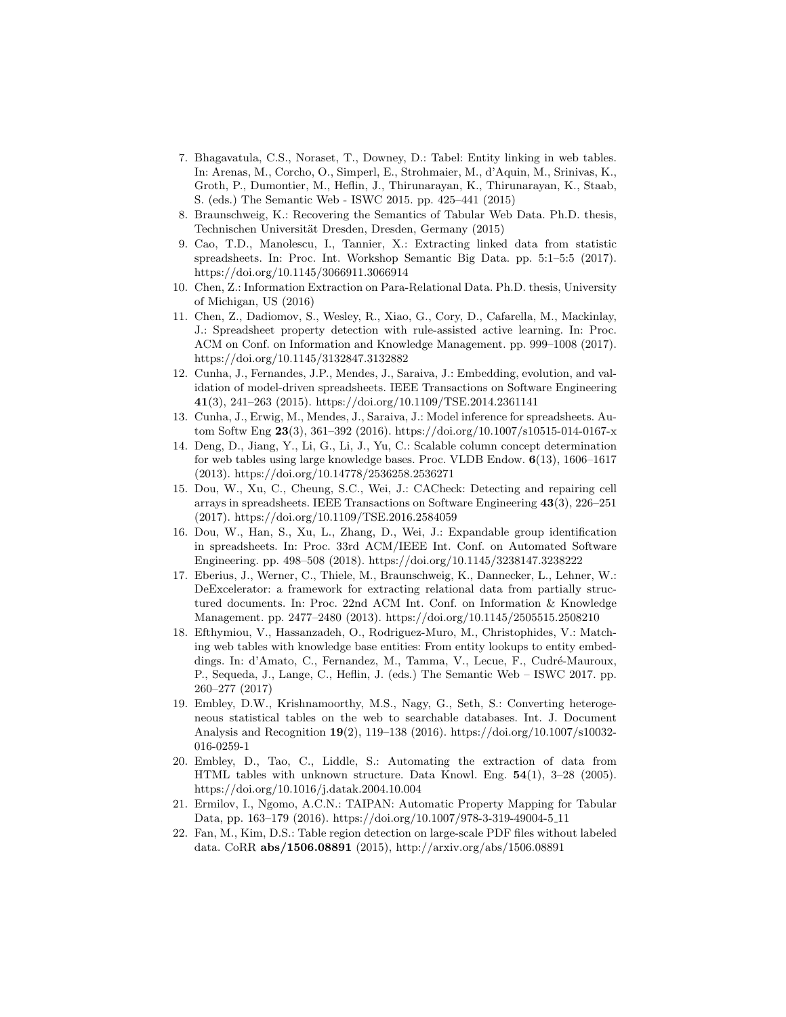- 7. Bhagavatula, C.S., Noraset, T., Downey, D.: Tabel: Entity linking in web tables. In: Arenas, M., Corcho, O., Simperl, E., Strohmaier, M., d'Aquin, M., Srinivas, K., Groth, P., Dumontier, M., Heflin, J., Thirunarayan, K., Thirunarayan, K., Staab, S. (eds.) The Semantic Web - ISWC 2015. pp. 425–441 (2015)
- 8. Braunschweig, K.: Recovering the Semantics of Tabular Web Data. Ph.D. thesis, Technischen Universität Dresden, Dresden, Germany (2015)
- 9. Cao, T.D., Manolescu, I., Tannier, X.: Extracting linked data from statistic spreadsheets. In: Proc. Int. Workshop Semantic Big Data. pp. 5:1–5:5 (2017). https://doi.org/10.1145/3066911.3066914
- 10. Chen, Z.: Information Extraction on Para-Relational Data. Ph.D. thesis, University of Michigan, US (2016)
- 11. Chen, Z., Dadiomov, S., Wesley, R., Xiao, G., Cory, D., Cafarella, M., Mackinlay, J.: Spreadsheet property detection with rule-assisted active learning. In: Proc. ACM on Conf. on Information and Knowledge Management. pp. 999–1008 (2017). https://doi.org/10.1145/3132847.3132882
- 12. Cunha, J., Fernandes, J.P., Mendes, J., Saraiva, J.: Embedding, evolution, and validation of model-driven spreadsheets. IEEE Transactions on Software Engineering 41(3), 241–263 (2015). https://doi.org/10.1109/TSE.2014.2361141
- 13. Cunha, J., Erwig, M., Mendes, J., Saraiva, J.: Model inference for spreadsheets. Autom Softw Eng 23(3), 361–392 (2016). https://doi.org/10.1007/s10515-014-0167-x
- 14. Deng, D., Jiang, Y., Li, G., Li, J., Yu, C.: Scalable column concept determination for web tables using large knowledge bases. Proc. VLDB Endow. 6(13), 1606–1617 (2013). https://doi.org/10.14778/2536258.2536271
- 15. Dou, W., Xu, C., Cheung, S.C., Wei, J.: CACheck: Detecting and repairing cell arrays in spreadsheets. IEEE Transactions on Software Engineering 43(3), 226–251 (2017). https://doi.org/10.1109/TSE.2016.2584059
- 16. Dou, W., Han, S., Xu, L., Zhang, D., Wei, J.: Expandable group identification in spreadsheets. In: Proc. 33rd ACM/IEEE Int. Conf. on Automated Software Engineering. pp. 498–508 (2018). https://doi.org/10.1145/3238147.3238222
- 17. Eberius, J., Werner, C., Thiele, M., Braunschweig, K., Dannecker, L., Lehner, W.: DeExcelerator: a framework for extracting relational data from partially structured documents. In: Proc. 22nd ACM Int. Conf. on Information & Knowledge Management. pp. 2477–2480 (2013). https://doi.org/10.1145/2505515.2508210
- 18. Efthymiou, V., Hassanzadeh, O., Rodriguez-Muro, M., Christophides, V.: Matching web tables with knowledge base entities: From entity lookups to entity embeddings. In: d'Amato, C., Fernandez, M., Tamma, V., Lecue, F., Cudré-Mauroux, P., Sequeda, J., Lange, C., Heflin, J. (eds.) The Semantic Web – ISWC 2017. pp. 260–277 (2017)
- 19. Embley, D.W., Krishnamoorthy, M.S., Nagy, G., Seth, S.: Converting heterogeneous statistical tables on the web to searchable databases. Int. J. Document Analysis and Recognition 19(2), 119–138 (2016). https://doi.org/10.1007/s10032- 016-0259-1
- 20. Embley, D., Tao, C., Liddle, S.: Automating the extraction of data from HTML tables with unknown structure. Data Knowl. Eng. 54(1), 3–28 (2005). https://doi.org/10.1016/j.datak.2004.10.004
- 21. Ermilov, I., Ngomo, A.C.N.: TAIPAN: Automatic Property Mapping for Tabular Data, pp. 163–179 (2016). https://doi.org/10.1007/978-3-319-49004-5 11
- 22. Fan, M., Kim, D.S.: Table region detection on large-scale PDF files without labeled data. CoRR abs/1506.08891 (2015), http://arxiv.org/abs/1506.08891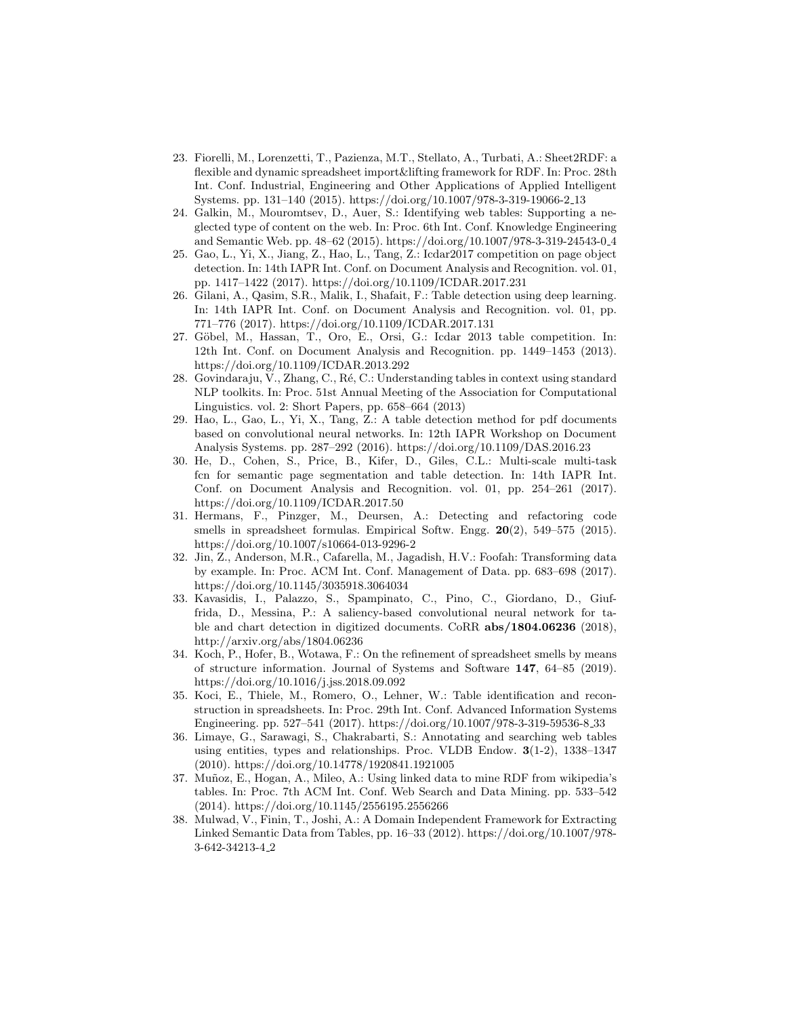- 23. Fiorelli, M., Lorenzetti, T., Pazienza, M.T., Stellato, A., Turbati, A.: Sheet2RDF: a flexible and dynamic spreadsheet import&lifting framework for RDF. In: Proc. 28th Int. Conf. Industrial, Engineering and Other Applications of Applied Intelligent Systems. pp. 131–140 (2015). https://doi.org/10.1007/978-3-319-19066-2 13
- 24. Galkin, M., Mouromtsev, D., Auer, S.: Identifying web tables: Supporting a neglected type of content on the web. In: Proc. 6th Int. Conf. Knowledge Engineering and Semantic Web. pp. 48–62 (2015). https://doi.org/10.1007/978-3-319-24543-0 4
- 25. Gao, L., Yi, X., Jiang, Z., Hao, L., Tang, Z.: Icdar2017 competition on page object detection. In: 14th IAPR Int. Conf. on Document Analysis and Recognition. vol. 01, pp. 1417–1422 (2017). https://doi.org/10.1109/ICDAR.2017.231
- 26. Gilani, A., Qasim, S.R., Malik, I., Shafait, F.: Table detection using deep learning. In: 14th IAPR Int. Conf. on Document Analysis and Recognition. vol. 01, pp. 771–776 (2017). https://doi.org/10.1109/ICDAR.2017.131
- 27. Göbel, M., Hassan, T., Oro, E., Orsi, G.: Icdar 2013 table competition. In: 12th Int. Conf. on Document Analysis and Recognition. pp. 1449–1453 (2013). https://doi.org/10.1109/ICDAR.2013.292
- 28. Govindaraju, V., Zhang, C., R´e, C.: Understanding tables in context using standard NLP toolkits. In: Proc. 51st Annual Meeting of the Association for Computational Linguistics. vol. 2: Short Papers, pp. 658–664 (2013)
- 29. Hao, L., Gao, L., Yi, X., Tang, Z.: A table detection method for pdf documents based on convolutional neural networks. In: 12th IAPR Workshop on Document Analysis Systems. pp. 287–292 (2016). https://doi.org/10.1109/DAS.2016.23
- 30. He, D., Cohen, S., Price, B., Kifer, D., Giles, C.L.: Multi-scale multi-task fcn for semantic page segmentation and table detection. In: 14th IAPR Int. Conf. on Document Analysis and Recognition. vol. 01, pp. 254–261 (2017). https://doi.org/10.1109/ICDAR.2017.50
- 31. Hermans, F., Pinzger, M., Deursen, A.: Detecting and refactoring code smells in spreadsheet formulas. Empirical Softw. Engg. 20(2), 549–575 (2015). https://doi.org/10.1007/s10664-013-9296-2
- 32. Jin, Z., Anderson, M.R., Cafarella, M., Jagadish, H.V.: Foofah: Transforming data by example. In: Proc. ACM Int. Conf. Management of Data. pp. 683–698 (2017). https://doi.org/10.1145/3035918.3064034
- 33. Kavasidis, I., Palazzo, S., Spampinato, C., Pino, C., Giordano, D., Giuffrida, D., Messina, P.: A saliency-based convolutional neural network for table and chart detection in digitized documents. CoRR abs/1804.06236 (2018), http://arxiv.org/abs/1804.06236
- 34. Koch, P., Hofer, B., Wotawa, F.: On the refinement of spreadsheet smells by means of structure information. Journal of Systems and Software 147, 64–85 (2019). https://doi.org/10.1016/j.jss.2018.09.092
- 35. Koci, E., Thiele, M., Romero, O., Lehner, W.: Table identification and reconstruction in spreadsheets. In: Proc. 29th Int. Conf. Advanced Information Systems Engineering. pp. 527–541 (2017). https://doi.org/10.1007/978-3-319-59536-8 33
- 36. Limaye, G., Sarawagi, S., Chakrabarti, S.: Annotating and searching web tables using entities, types and relationships. Proc. VLDB Endow.  $3(1-2)$ , 1338–1347 (2010). https://doi.org/10.14778/1920841.1921005
- 37. Muñoz, E., Hogan, A., Mileo, A.: Using linked data to mine RDF from wikipedia's tables. In: Proc. 7th ACM Int. Conf. Web Search and Data Mining. pp. 533–542 (2014). https://doi.org/10.1145/2556195.2556266
- 38. Mulwad, V., Finin, T., Joshi, A.: A Domain Independent Framework for Extracting Linked Semantic Data from Tables, pp. 16–33 (2012). https://doi.org/10.1007/978- 3-642-34213-4 2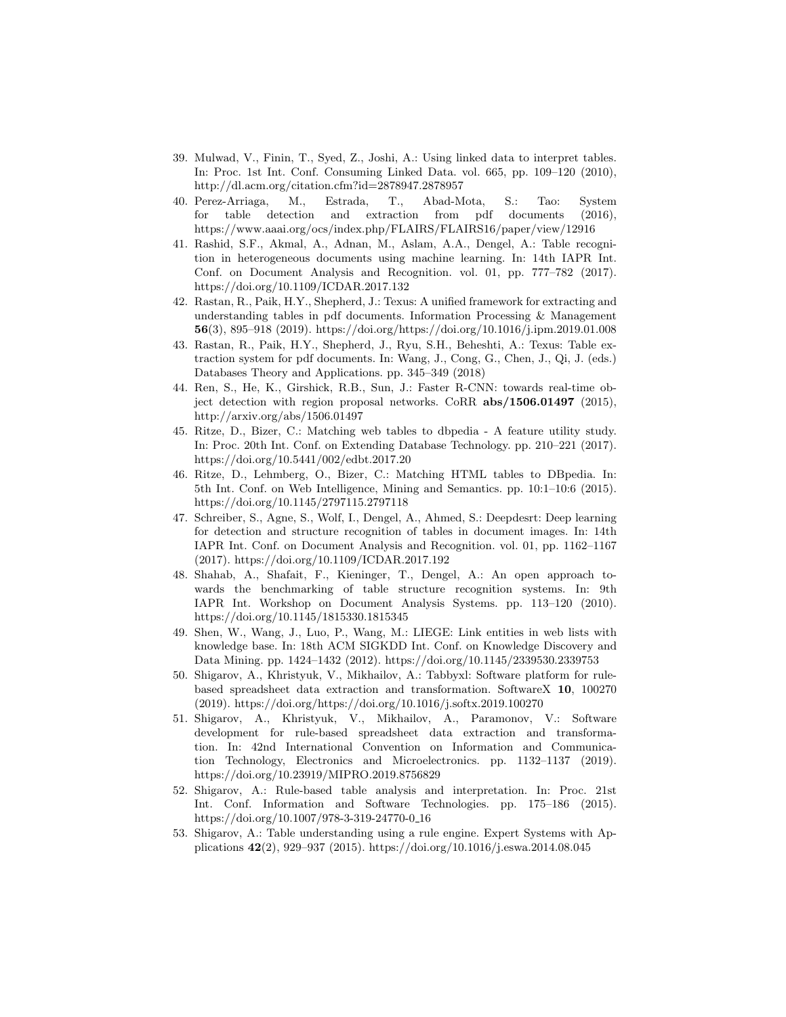- 39. Mulwad, V., Finin, T., Syed, Z., Joshi, A.: Using linked data to interpret tables. In: Proc. 1st Int. Conf. Consuming Linked Data. vol. 665, pp. 109–120 (2010), http://dl.acm.org/citation.cfm?id=2878947.2878957
- 40. Perez-Arriaga, M., Estrada, T., Abad-Mota, S.: Tao: System for table detection and extraction from pdf documents (2016), https://www.aaai.org/ocs/index.php/FLAIRS/FLAIRS16/paper/view/12916
- 41. Rashid, S.F., Akmal, A., Adnan, M., Aslam, A.A., Dengel, A.: Table recognition in heterogeneous documents using machine learning. In: 14th IAPR Int. Conf. on Document Analysis and Recognition. vol. 01, pp. 777–782 (2017). https://doi.org/10.1109/ICDAR.2017.132
- 42. Rastan, R., Paik, H.Y., Shepherd, J.: Texus: A unified framework for extracting and understanding tables in pdf documents. Information Processing & Management 56(3), 895–918 (2019). https://doi.org/https://doi.org/10.1016/j.ipm.2019.01.008
- 43. Rastan, R., Paik, H.Y., Shepherd, J., Ryu, S.H., Beheshti, A.: Texus: Table extraction system for pdf documents. In: Wang, J., Cong, G., Chen, J., Qi, J. (eds.) Databases Theory and Applications. pp. 345–349 (2018)
- 44. Ren, S., He, K., Girshick, R.B., Sun, J.: Faster R-CNN: towards real-time object detection with region proposal networks. CoRR abs/1506.01497 (2015), http://arxiv.org/abs/1506.01497
- 45. Ritze, D., Bizer, C.: Matching web tables to dbpedia A feature utility study. In: Proc. 20th Int. Conf. on Extending Database Technology. pp. 210–221 (2017). https://doi.org/10.5441/002/edbt.2017.20
- 46. Ritze, D., Lehmberg, O., Bizer, C.: Matching HTML tables to DBpedia. In: 5th Int. Conf. on Web Intelligence, Mining and Semantics. pp. 10:1–10:6 (2015). https://doi.org/10.1145/2797115.2797118
- 47. Schreiber, S., Agne, S., Wolf, I., Dengel, A., Ahmed, S.: Deepdesrt: Deep learning for detection and structure recognition of tables in document images. In: 14th IAPR Int. Conf. on Document Analysis and Recognition. vol. 01, pp. 1162–1167 (2017). https://doi.org/10.1109/ICDAR.2017.192
- 48. Shahab, A., Shafait, F., Kieninger, T., Dengel, A.: An open approach towards the benchmarking of table structure recognition systems. In: 9th IAPR Int. Workshop on Document Analysis Systems. pp. 113–120 (2010). https://doi.org/10.1145/1815330.1815345
- 49. Shen, W., Wang, J., Luo, P., Wang, M.: LIEGE: Link entities in web lists with knowledge base. In: 18th ACM SIGKDD Int. Conf. on Knowledge Discovery and Data Mining. pp. 1424–1432 (2012). https://doi.org/10.1145/2339530.2339753
- 50. Shigarov, A., Khristyuk, V., Mikhailov, A.: Tabbyxl: Software platform for rulebased spreadsheet data extraction and transformation. SoftwareX 10, 100270 (2019). https://doi.org/https://doi.org/10.1016/j.softx.2019.100270
- 51. Shigarov, A., Khristyuk, V., Mikhailov, A., Paramonov, V.: Software development for rule-based spreadsheet data extraction and transformation. In: 42nd International Convention on Information and Communication Technology, Electronics and Microelectronics. pp. 1132–1137 (2019). https://doi.org/10.23919/MIPRO.2019.8756829
- 52. Shigarov, A.: Rule-based table analysis and interpretation. In: Proc. 21st Int. Conf. Information and Software Technologies. pp. 175–186 (2015). https://doi.org/10.1007/978-3-319-24770-0 16
- 53. Shigarov, A.: Table understanding using a rule engine. Expert Systems with Applications 42(2), 929–937 (2015). https://doi.org/10.1016/j.eswa.2014.08.045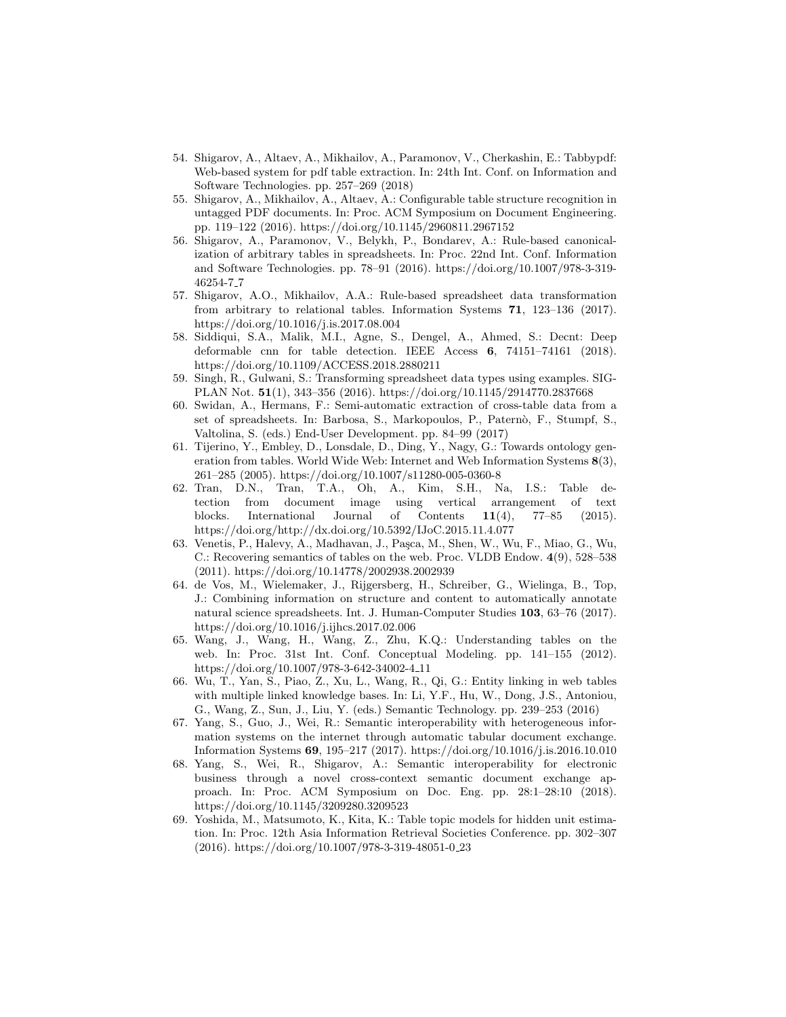- 54. Shigarov, A., Altaev, A., Mikhailov, A., Paramonov, V., Cherkashin, E.: Tabbypdf: Web-based system for pdf table extraction. In: 24th Int. Conf. on Information and Software Technologies. pp. 257–269 (2018)
- 55. Shigarov, A., Mikhailov, A., Altaev, A.: Configurable table structure recognition in untagged PDF documents. In: Proc. ACM Symposium on Document Engineering. pp. 119–122 (2016). https://doi.org/10.1145/2960811.2967152
- 56. Shigarov, A., Paramonov, V., Belykh, P., Bondarev, A.: Rule-based canonicalization of arbitrary tables in spreadsheets. In: Proc. 22nd Int. Conf. Information and Software Technologies. pp. 78–91 (2016). https://doi.org/10.1007/978-3-319- 46254-7 7
- 57. Shigarov, A.O., Mikhailov, A.A.: Rule-based spreadsheet data transformation from arbitrary to relational tables. Information Systems 71, 123–136 (2017). https://doi.org/10.1016/j.is.2017.08.004
- 58. Siddiqui, S.A., Malik, M.I., Agne, S., Dengel, A., Ahmed, S.: Decnt: Deep deformable cnn for table detection. IEEE Access 6, 74151–74161 (2018). https://doi.org/10.1109/ACCESS.2018.2880211
- 59. Singh, R., Gulwani, S.: Transforming spreadsheet data types using examples. SIG-PLAN Not. 51(1), 343–356 (2016). https://doi.org/10.1145/2914770.2837668
- 60. Swidan, A., Hermans, F.: Semi-automatic extraction of cross-table data from a set of spreadsheets. In: Barbosa, S., Markopoulos, P., Paternò, F., Stumpf, S., Valtolina, S. (eds.) End-User Development. pp. 84–99 (2017)
- 61. Tijerino, Y., Embley, D., Lonsdale, D., Ding, Y., Nagy, G.: Towards ontology generation from tables. World Wide Web: Internet and Web Information Systems 8(3), 261–285 (2005). https://doi.org/10.1007/s11280-005-0360-8
- 62. Tran, D.N., Tran, T.A., Oh, A., Kim, S.H., Na, I.S.: Table detection from document image using vertical arrangement of text blocks. International Journal of Contents 11(4), 77–85 (2015). https://doi.org/http://dx.doi.org/10.5392/IJoC.2015.11.4.077
- 63. Venetis, P., Halevy, A., Madhavan, J., Paşca, M., Shen, W., Wu, F., Miao, G., Wu, C.: Recovering semantics of tables on the web. Proc. VLDB Endow. 4(9), 528–538 (2011). https://doi.org/10.14778/2002938.2002939
- 64. de Vos, M., Wielemaker, J., Rijgersberg, H., Schreiber, G., Wielinga, B., Top, J.: Combining information on structure and content to automatically annotate natural science spreadsheets. Int. J. Human-Computer Studies 103, 63–76 (2017). https://doi.org/10.1016/j.ijhcs.2017.02.006
- 65. Wang, J., Wang, H., Wang, Z., Zhu, K.Q.: Understanding tables on the web. In: Proc. 31st Int. Conf. Conceptual Modeling. pp. 141–155 (2012). https://doi.org/10.1007/978-3-642-34002-4 11
- 66. Wu, T., Yan, S., Piao, Z., Xu, L., Wang, R., Qi, G.: Entity linking in web tables with multiple linked knowledge bases. In: Li, Y.F., Hu, W., Dong, J.S., Antoniou, G., Wang, Z., Sun, J., Liu, Y. (eds.) Semantic Technology. pp. 239–253 (2016)
- 67. Yang, S., Guo, J., Wei, R.: Semantic interoperability with heterogeneous information systems on the internet through automatic tabular document exchange. Information Systems 69, 195–217 (2017). https://doi.org/10.1016/j.is.2016.10.010
- 68. Yang, S., Wei, R., Shigarov, A.: Semantic interoperability for electronic business through a novel cross-context semantic document exchange approach. In: Proc. ACM Symposium on Doc. Eng. pp. 28:1–28:10 (2018). https://doi.org/10.1145/3209280.3209523
- 69. Yoshida, M., Matsumoto, K., Kita, K.: Table topic models for hidden unit estimation. In: Proc. 12th Asia Information Retrieval Societies Conference. pp. 302–307 (2016). https://doi.org/10.1007/978-3-319-48051-0 23